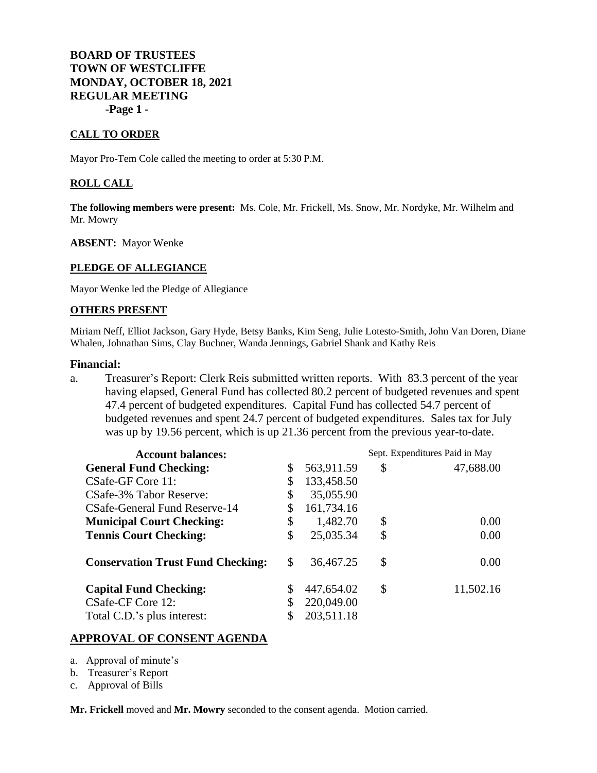# **BOARD OF TRUSTEES TOWN OF WESTCLIFFE MONDAY, OCTOBER 18, 2021 REGULAR MEETING -Page 1 -**

#### **CALL TO ORDER**

Mayor Pro-Tem Cole called the meeting to order at 5:30 P.M.

#### **ROLL CALL**

**The following members were present:** Ms. Cole, Mr. Frickell, Ms. Snow, Mr. Nordyke, Mr. Wilhelm and Mr. Mowry

**ABSENT:** Mayor Wenke

#### **PLEDGE OF ALLEGIANCE**

Mayor Wenke led the Pledge of Allegiance

#### **OTHERS PRESENT**

Miriam Neff, Elliot Jackson, Gary Hyde, Betsy Banks, Kim Seng, Julie Lotesto-Smith, John Van Doren, Diane Whalen, Johnathan Sims, Clay Buchner, Wanda Jennings, Gabriel Shank and Kathy Reis

#### **Financial:**

a. Treasurer's Report: Clerk Reis submitted written reports. With 83.3 percent of the year having elapsed, General Fund has collected 80.2 percent of budgeted revenues and spent 47.4 percent of budgeted expenditures. Capital Fund has collected 54.7 percent of budgeted revenues and spent 24.7 percent of budgeted expenditures. Sales tax for July was up by 19.56 percent, which is up 21.36 percent from the previous year-to-date.

| <b>Account balances:</b>                 |    |            | Sept. Expenditures Paid in May |           |
|------------------------------------------|----|------------|--------------------------------|-----------|
| <b>General Fund Checking:</b>            | \$ | 563,911.59 | \$                             | 47,688.00 |
| CSafe-GF Core 11:                        | \$ | 133,458.50 |                                |           |
| CSafe-3% Tabor Reserve:                  | \$ | 35,055.90  |                                |           |
| CSafe-General Fund Reserve-14            |    | 161,734.16 |                                |           |
| <b>Municipal Court Checking:</b>         | \$ | 1,482.70   | \$                             | 0.00      |
| <b>Tennis Court Checking:</b>            | \$ | 25,035.34  | \$                             | 0.00      |
| <b>Conservation Trust Fund Checking:</b> | \$ | 36,467.25  | \$                             | 0.00      |
| <b>Capital Fund Checking:</b>            | \$ | 447,654.02 | \$                             | 11,502.16 |
| CSafe-CF Core 12:                        |    | 220,049.00 |                                |           |
| Total C.D.'s plus interest:              |    | 203,511.18 |                                |           |

#### **APPROVAL OF CONSENT AGENDA**

- a. Approval of minute's
- b. Treasurer's Report
- c. Approval of Bills

**Mr. Frickell** moved and **Mr. Mowry** seconded to the consent agenda. Motion carried.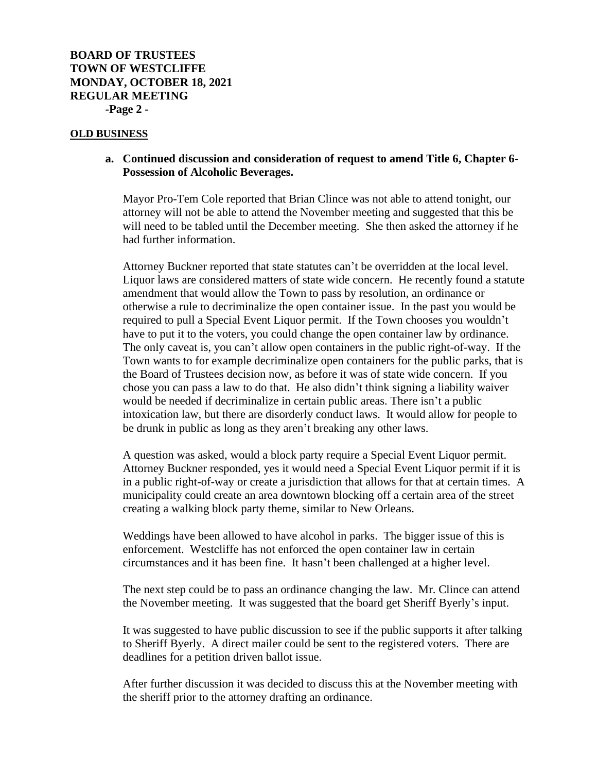# **BOARD OF TRUSTEES TOWN OF WESTCLIFFE MONDAY, OCTOBER 18, 2021 REGULAR MEETING -Page 2 -**

#### **OLD BUSINESS**

## **a. Continued discussion and consideration of request to amend Title 6, Chapter 6- Possession of Alcoholic Beverages.**

Mayor Pro-Tem Cole reported that Brian Clince was not able to attend tonight, our attorney will not be able to attend the November meeting and suggested that this be will need to be tabled until the December meeting. She then asked the attorney if he had further information.

Attorney Buckner reported that state statutes can't be overridden at the local level. Liquor laws are considered matters of state wide concern. He recently found a statute amendment that would allow the Town to pass by resolution, an ordinance or otherwise a rule to decriminalize the open container issue. In the past you would be required to pull a Special Event Liquor permit. If the Town chooses you wouldn't have to put it to the voters, you could change the open container law by ordinance. The only caveat is, you can't allow open containers in the public right-of-way. If the Town wants to for example decriminalize open containers for the public parks, that is the Board of Trustees decision now, as before it was of state wide concern. If you chose you can pass a law to do that. He also didn't think signing a liability waiver would be needed if decriminalize in certain public areas. There isn't a public intoxication law, but there are disorderly conduct laws. It would allow for people to be drunk in public as long as they aren't breaking any other laws.

A question was asked, would a block party require a Special Event Liquor permit. Attorney Buckner responded, yes it would need a Special Event Liquor permit if it is in a public right-of-way or create a jurisdiction that allows for that at certain times. A municipality could create an area downtown blocking off a certain area of the street creating a walking block party theme, similar to New Orleans.

Weddings have been allowed to have alcohol in parks. The bigger issue of this is enforcement. Westcliffe has not enforced the open container law in certain circumstances and it has been fine. It hasn't been challenged at a higher level.

The next step could be to pass an ordinance changing the law. Mr. Clince can attend the November meeting. It was suggested that the board get Sheriff Byerly's input.

It was suggested to have public discussion to see if the public supports it after talking to Sheriff Byerly. A direct mailer could be sent to the registered voters. There are deadlines for a petition driven ballot issue.

After further discussion it was decided to discuss this at the November meeting with the sheriff prior to the attorney drafting an ordinance.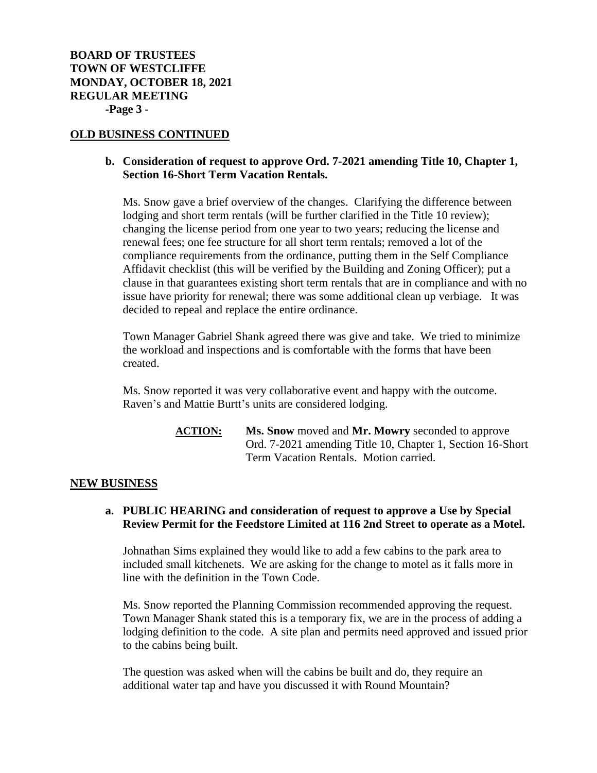# **OLD BUSINESS CONTINUED**

# **b. Consideration of request to approve Ord. 7-2021 amending Title 10, Chapter 1, Section 16-Short Term Vacation Rentals.**

Ms. Snow gave a brief overview of the changes. Clarifying the difference between lodging and short term rentals (will be further clarified in the Title 10 review); changing the license period from one year to two years; reducing the license and renewal fees; one fee structure for all short term rentals; removed a lot of the compliance requirements from the ordinance, putting them in the Self Compliance Affidavit checklist (this will be verified by the Building and Zoning Officer); put a clause in that guarantees existing short term rentals that are in compliance and with no issue have priority for renewal; there was some additional clean up verbiage. It was decided to repeal and replace the entire ordinance.

Town Manager Gabriel Shank agreed there was give and take. We tried to minimize the workload and inspections and is comfortable with the forms that have been created.

Ms. Snow reported it was very collaborative event and happy with the outcome. Raven's and Mattie Burtt's units are considered lodging.

> **ACTION: Ms. Snow** moved and **Mr. Mowry** seconded to approve Ord. 7-2021 amending Title 10, Chapter 1, Section 16-Short Term Vacation Rentals. Motion carried.

#### **NEW BUSINESS**

# **a. PUBLIC HEARING and consideration of request to approve a Use by Special Review Permit for the Feedstore Limited at 116 2nd Street to operate as a Motel.**

Johnathan Sims explained they would like to add a few cabins to the park area to included small kitchenets. We are asking for the change to motel as it falls more in line with the definition in the Town Code.

Ms. Snow reported the Planning Commission recommended approving the request. Town Manager Shank stated this is a temporary fix, we are in the process of adding a lodging definition to the code. A site plan and permits need approved and issued prior to the cabins being built.

The question was asked when will the cabins be built and do, they require an additional water tap and have you discussed it with Round Mountain?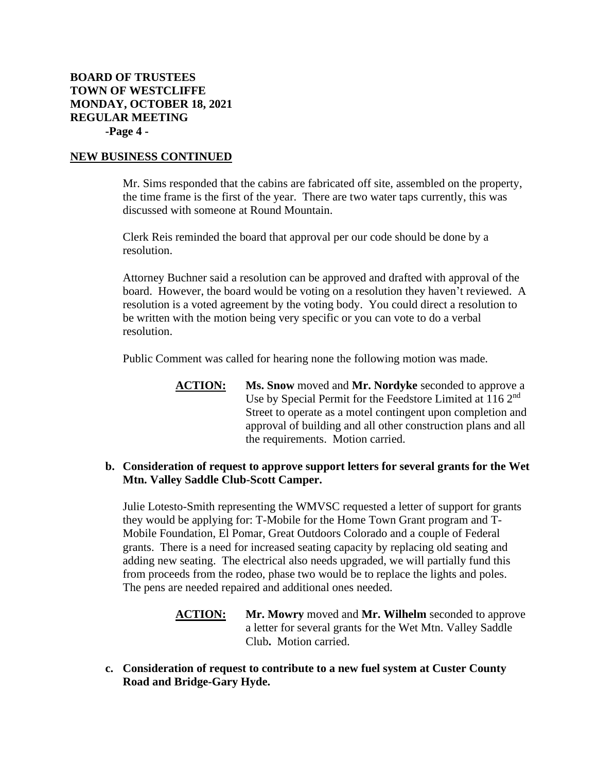# **BOARD OF TRUSTEES TOWN OF WESTCLIFFE MONDAY, OCTOBER 18, 2021 REGULAR MEETING -Page 4 -**

### **NEW BUSINESS CONTINUED**

Mr. Sims responded that the cabins are fabricated off site, assembled on the property, the time frame is the first of the year. There are two water taps currently, this was discussed with someone at Round Mountain.

Clerk Reis reminded the board that approval per our code should be done by a resolution.

Attorney Buchner said a resolution can be approved and drafted with approval of the board. However, the board would be voting on a resolution they haven't reviewed. A resolution is a voted agreement by the voting body. You could direct a resolution to be written with the motion being very specific or you can vote to do a verbal resolution.

Public Comment was called for hearing none the following motion was made.

**ACTION: Ms. Snow** moved and **Mr. Nordyke** seconded to approve a Use by Special Permit for the Feedstore Limited at 116 2nd Street to operate as a motel contingent upon completion and approval of building and all other construction plans and all the requirements. Motion carried.

# **b. Consideration of request to approve support letters for several grants for the Wet Mtn. Valley Saddle Club-Scott Camper.**

Julie Lotesto-Smith representing the WMVSC requested a letter of support for grants they would be applying for: T-Mobile for the Home Town Grant program and T-Mobile Foundation, El Pomar, Great Outdoors Colorado and a couple of Federal grants. There is a need for increased seating capacity by replacing old seating and adding new seating. The electrical also needs upgraded, we will partially fund this from proceeds from the rodeo, phase two would be to replace the lights and poles. The pens are needed repaired and additional ones needed.

- **ACTION: Mr. Mowry** moved and **Mr. Wilhelm** seconded to approve a letter for several grants for the Wet Mtn. Valley Saddle Club**.** Motion carried.
- **c. Consideration of request to contribute to a new fuel system at Custer County Road and Bridge-Gary Hyde.**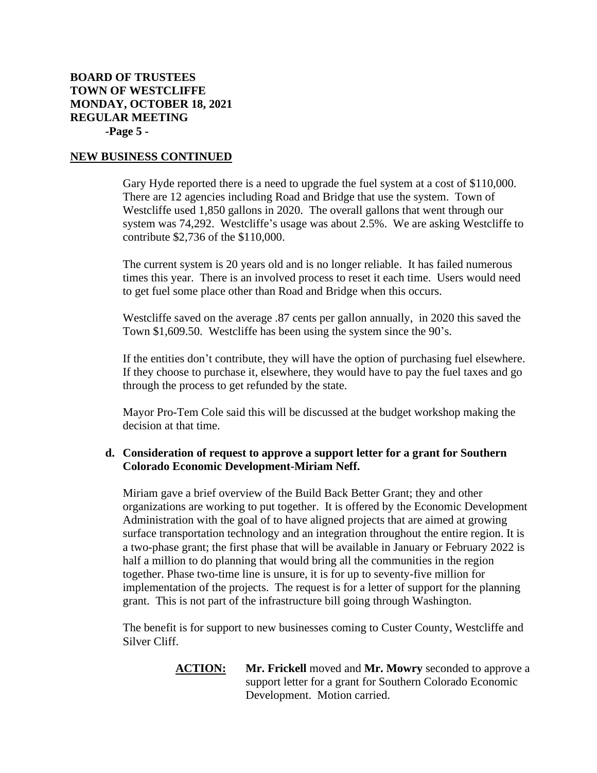# **BOARD OF TRUSTEES TOWN OF WESTCLIFFE MONDAY, OCTOBER 18, 2021 REGULAR MEETING -Page 5 -**

### **NEW BUSINESS CONTINUED**

Gary Hyde reported there is a need to upgrade the fuel system at a cost of \$110,000. There are 12 agencies including Road and Bridge that use the system. Town of Westcliffe used 1,850 gallons in 2020. The overall gallons that went through our system was 74,292. Westcliffe's usage was about 2.5%. We are asking Westcliffe to contribute \$2,736 of the \$110,000.

The current system is 20 years old and is no longer reliable. It has failed numerous times this year. There is an involved process to reset it each time. Users would need to get fuel some place other than Road and Bridge when this occurs.

Westcliffe saved on the average .87 cents per gallon annually, in 2020 this saved the Town \$1,609.50. Westcliffe has been using the system since the 90's.

If the entities don't contribute, they will have the option of purchasing fuel elsewhere. If they choose to purchase it, elsewhere, they would have to pay the fuel taxes and go through the process to get refunded by the state.

Mayor Pro-Tem Cole said this will be discussed at the budget workshop making the decision at that time.

# **d. Consideration of request to approve a support letter for a grant for Southern Colorado Economic Development-Miriam Neff.**

Miriam gave a brief overview of the Build Back Better Grant; they and other organizations are working to put together. It is offered by the Economic Development Administration with the goal of to have aligned projects that are aimed at growing surface transportation technology and an integration throughout the entire region. It is a two-phase grant; the first phase that will be available in January or February 2022 is half a million to do planning that would bring all the communities in the region together. Phase two-time line is unsure, it is for up to seventy-five million for implementation of the projects. The request is for a letter of support for the planning grant. This is not part of the infrastructure bill going through Washington.

The benefit is for support to new businesses coming to Custer County, Westcliffe and Silver Cliff.

> **ACTION: Mr. Frickell** moved and **Mr. Mowry** seconded to approve a support letter for a grant for Southern Colorado Economic Development. Motion carried.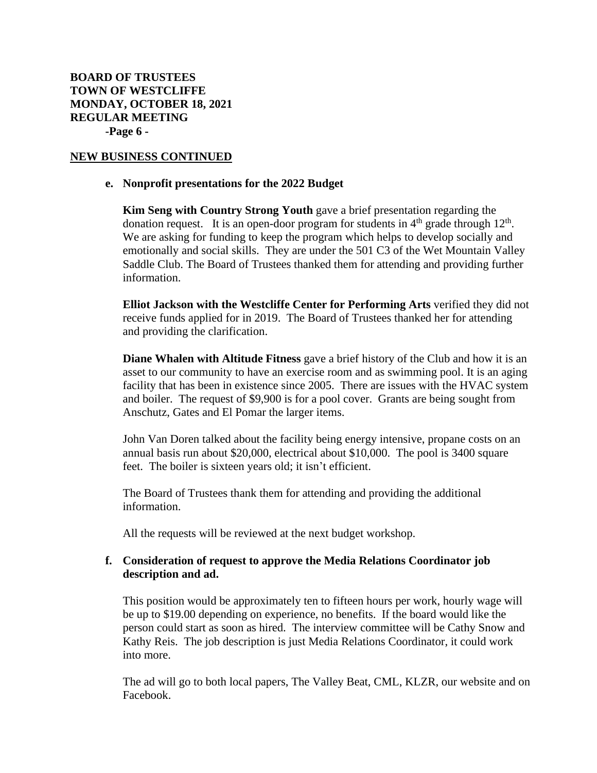## **NEW BUSINESS CONTINUED**

#### **e. Nonprofit presentations for the 2022 Budget**

**Kim Seng with Country Strong Youth** gave a brief presentation regarding the donation request. It is an open-door program for students in  $4<sup>th</sup>$  grade through  $12<sup>th</sup>$ . We are asking for funding to keep the program which helps to develop socially and emotionally and social skills. They are under the 501 C3 of the Wet Mountain Valley Saddle Club. The Board of Trustees thanked them for attending and providing further information.

**Elliot Jackson with the Westcliffe Center for Performing Arts** verified they did not receive funds applied for in 2019. The Board of Trustees thanked her for attending and providing the clarification.

**Diane Whalen with Altitude Fitness** gave a brief history of the Club and how it is an asset to our community to have an exercise room and as swimming pool. It is an aging facility that has been in existence since 2005. There are issues with the HVAC system and boiler. The request of \$9,900 is for a pool cover. Grants are being sought from Anschutz, Gates and El Pomar the larger items.

John Van Doren talked about the facility being energy intensive, propane costs on an annual basis run about \$20,000, electrical about \$10,000. The pool is 3400 square feet. The boiler is sixteen years old; it isn't efficient.

The Board of Trustees thank them for attending and providing the additional information.

All the requests will be reviewed at the next budget workshop.

# **f. Consideration of request to approve the Media Relations Coordinator job description and ad.**

This position would be approximately ten to fifteen hours per work, hourly wage will be up to \$19.00 depending on experience, no benefits. If the board would like the person could start as soon as hired. The interview committee will be Cathy Snow and Kathy Reis. The job description is just Media Relations Coordinator, it could work into more.

The ad will go to both local papers, The Valley Beat, CML, KLZR, our website and on Facebook.